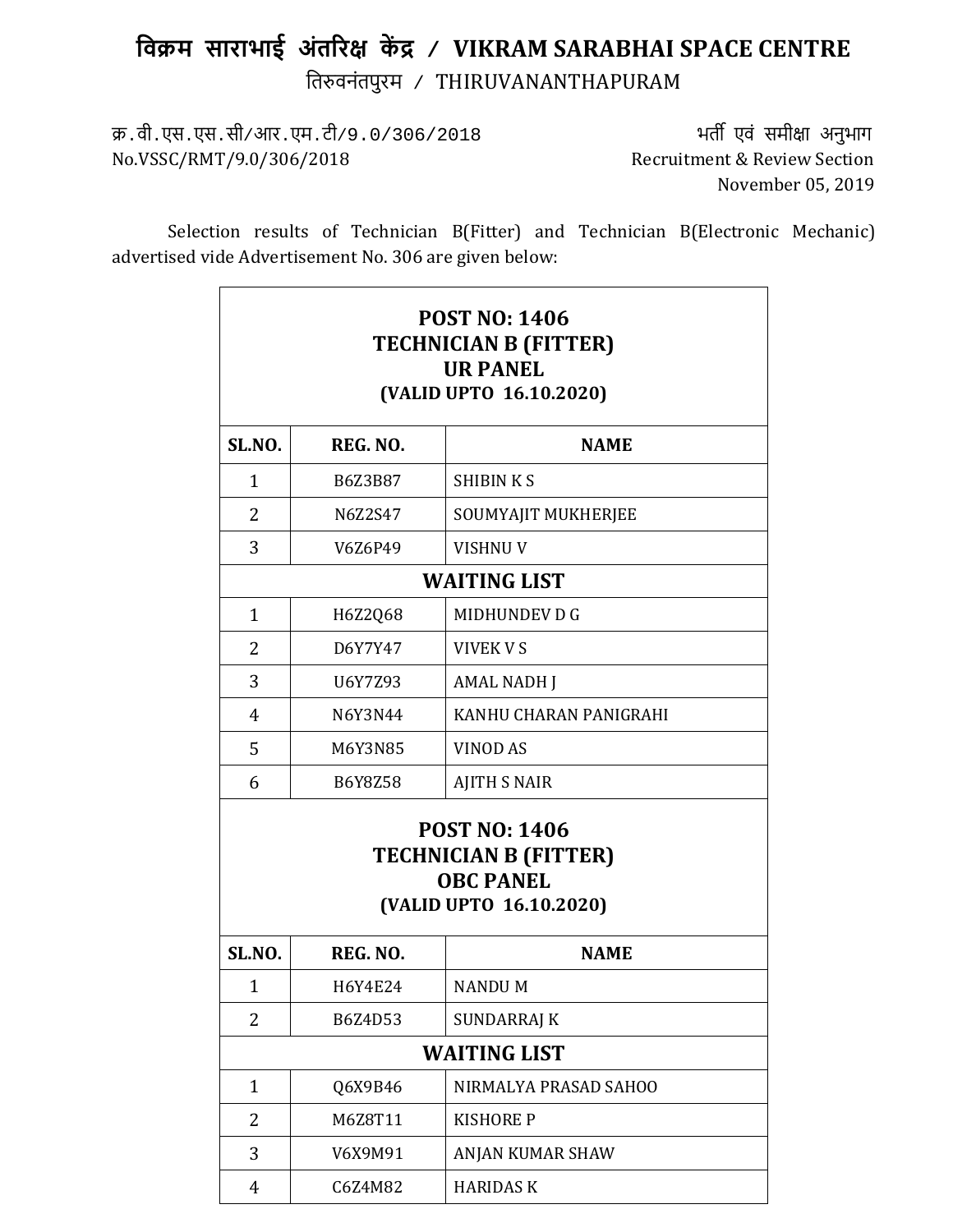## **िवक्रम साराभाई अंत�र� क� द्र / VIKRAM SARABHAI SPACE CENTRE** ित�वनंतपुरम / THIRUVANANTHAPURAM

क्र.वी.एस.एस.सी/आर.एम.टी/9.0/306/2018 भत� एवं समी�ा अनुभाग No.VSSC/RMT/9.0/306/2018

November 05, 2019

Selection results of Technician B(Fitter) and Technician B(Electronic Mechanic) advertised vide Advertisement No. 306 are given below:

| <b>POST NO: 1406</b><br><b>TECHNICIAN B (FITTER)</b><br><b>UR PANEL</b><br>(VALID UPTO 16.10.2020)  |          |                        |  |  |
|-----------------------------------------------------------------------------------------------------|----------|------------------------|--|--|
| <b>SL.NO.</b>                                                                                       | REG. NO. | <b>NAME</b>            |  |  |
| $\mathbf{1}$                                                                                        | B6Z3B87  | <b>SHIBINKS</b>        |  |  |
| $\overline{2}$                                                                                      | N6Z2S47  | SOUMYAJIT MUKHERJEE    |  |  |
| 3                                                                                                   | V6Z6P49  | <b>VISHNU V</b>        |  |  |
| <b>WAITING LIST</b>                                                                                 |          |                        |  |  |
| $\mathbf{1}$                                                                                        | H6Z2Q68  | MIDHUNDEV D G          |  |  |
| 2                                                                                                   | D6Y7Y47  | <b>VIVEK V S</b>       |  |  |
| 3                                                                                                   | U6Y7Z93  | <b>AMAL NADH J</b>     |  |  |
| $\overline{4}$                                                                                      | N6Y3N44  | KANHU CHARAN PANIGRAHI |  |  |
| 5                                                                                                   | M6Y3N85  | <b>VINOD AS</b>        |  |  |
| 6                                                                                                   | B6Y8Z58  | <b>AJITH S NAIR</b>    |  |  |
| <b>POST NO: 1406</b><br><b>TECHNICIAN B (FITTER)</b><br><b>OBC PANEL</b><br>(VALID UPTO 16.10.2020) |          |                        |  |  |
| <b>SL.NO.</b>                                                                                       | REG. NO. | <b>NAME</b>            |  |  |
| 1                                                                                                   | H6Y4E24  | NANDU M                |  |  |
| $\overline{2}$                                                                                      | B6Z4D53  | <b>SUNDARRAJ K</b>     |  |  |
| <b>WAITING LIST</b>                                                                                 |          |                        |  |  |
| $\mathbf{1}$                                                                                        | Q6X9B46  | NIRMALYA PRASAD SAHOO  |  |  |
| 2                                                                                                   | M6Z8T11  | <b>KISHORE P</b>       |  |  |
| 3                                                                                                   | V6X9M91  | ANJAN KUMAR SHAW       |  |  |
| $\overline{4}$                                                                                      | C6Z4M82  | <b>HARIDASK</b>        |  |  |